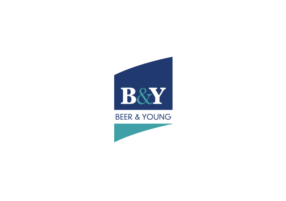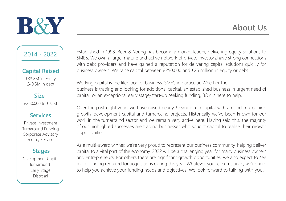

2014 - 2022

#### **Capital Raised**

£33.8M in equity £40.5M in debt

**Size** £250,000 to £25M

#### **Services**

Corporate Advisory Turnaround Funding Private Investment Lending Services

#### **Stages**

Early Stage Development Capital Disposal Turnaround

Established in 1998, Beer & Young has become a market leader, delivering equity solutions to SME's. We own a large, mature and active network of private investors,have strong connections with debt providers and have gained a reputation for delivering capital solutions quickly for business owners. We raise capital between £250,000 and £25 million in equity or debt.

Working capital is the lifeblood of business, SME's in particular. Whether the business is trading and looking for additional capital, an established business in urgent need of capital, or an exceptional early stage/start-up seeking funding, B&Y is here to help.

Over the past eight years we have raised nearly £75million in capital with a good mix of high growth, development capital and turnaround projects. Historically we've been known for our work in the turnaround sector and we remain very active here. Having said this, the majority of our highlighted successes are trading businesses who sought capital to realise their growth opportunities.

As a multi-award winner, we're very proud to represent our business community, helping deliver capital to a vital part of the economy. 2022 will be a challenging year for many business owners and entrepreneurs. For others there are significant growth opportunities; we also expect to see more funding required for acquisitions during this year. Whatever your circumstance, we're here to help you achieve your funding needs and objectives. We look forward to talking with you.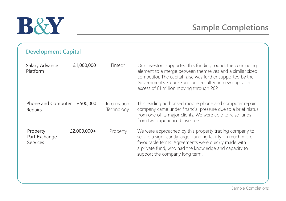#### **Development Capital**

| Salary Advance<br>Platform            | £1,000,000  | Fintech                   | Our investors supported this funding round, the concluding<br>element to a merge between themselves and a similar sized<br>competitor. The capital raise was further supported by the<br>Government's Future Fund and resulted in new capital in<br>excess of £1 million moving through 2021. |
|---------------------------------------|-------------|---------------------------|-----------------------------------------------------------------------------------------------------------------------------------------------------------------------------------------------------------------------------------------------------------------------------------------------|
| Phone and Computer<br>Repairs         | £500,000    | Information<br>Technology | This leading authorised mobile phone and computer repair<br>company came under financial pressure due to a brief hiatus<br>from one of its major clients. We were able to raise funds<br>from two experienced investors.                                                                      |
| Property<br>Part Exchange<br>Services | £2,000,000+ | Property                  | We were approached by this property trading company to<br>secure a significantly larger funding facility on much more<br>favourable terms. Agreements were quickly made with<br>a private fund, who had the knowledge and capacity to<br>support the company long term.                       |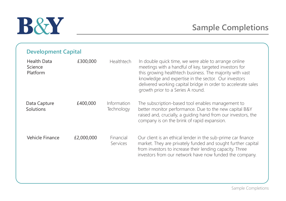| <b>Development Capital</b> |  |
|----------------------------|--|
|----------------------------|--|

| <b>Health Data</b><br>Science<br>Platform | £300,000   | Healthtech                   | In double quick time, we were able to arrange online<br>meetings with a handful of key, targeted investors for<br>this growing healthtech business. The majority with vast<br>knowledge and expertise in the sector. Our investors<br>delivered working capital bridge in order to accelerate sales<br>growth prior to a Series A round. |
|-------------------------------------------|------------|------------------------------|------------------------------------------------------------------------------------------------------------------------------------------------------------------------------------------------------------------------------------------------------------------------------------------------------------------------------------------|
| Data Capture<br>Solutions                 | £400,000   | Information<br>Technology    | The subscription-based tool enables management to<br>better monitor performance. Due to the new capital B&Y<br>raised and, crucially, a quiding hand from our investors, the<br>company is on the brink of rapid expansion.                                                                                                              |
| Vehicle Finance                           | £2,000,000 | Financial<br><b>Services</b> | Our client is an ethical lender in the sub-prime car finance<br>market. They are privately funded and sought further capital<br>from investors to increase their lending capacity. Three<br>investors from our network have now funded the company.                                                                                      |

Sample Completions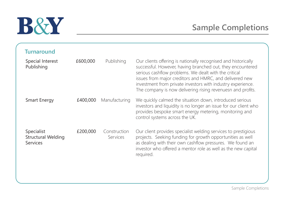| Turnaround                                   |          |                                 |                                                                                                                                                                                                                                                                                                                                                                                |
|----------------------------------------------|----------|---------------------------------|--------------------------------------------------------------------------------------------------------------------------------------------------------------------------------------------------------------------------------------------------------------------------------------------------------------------------------------------------------------------------------|
| Special Interest<br>Publishing               | £600,000 | Publishing                      | Our clients offering is nationally recognised and historically<br>successful. However, having branched out, they encountered<br>serious cashflow problems. We dealt with the critical<br>issues from major creditors and HMRC, and delivered new<br>investment from private investors with industry experience.<br>The company is now delivering rising revenuesn and profits. |
| <b>Smart Energy</b>                          | £400,000 | Manufacturing                   | We quickly calmed the situation down, introduced serious<br>investors and liquidity is no longer an issue for our client who<br>provides bespoke smart energy metering, monitoring and<br>control systems across the UK.                                                                                                                                                       |
| Specialist<br>Structural Welding<br>Services | £200,000 | Construction<br><b>Services</b> | Our client provides specialist welding services to prestigious<br>projects. Seeking funding for growth opportunities as well<br>as dealing with their own cashflow pressures. We found an<br>investor who offered a mentor role as well as the new capital<br>required.                                                                                                        |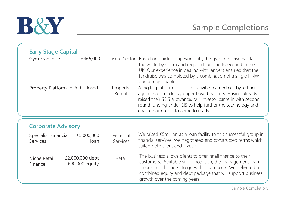| <b>Early Stage Capital</b><br>Gym Franchise<br>Property Platform £Undisclosed | £465,000                             | Property<br>Rental    | Leisure Sector Based on quick group workouts, the gym franchise has taken<br>the world by storm and required funding to expand in the<br>UK. Our experience in dealing with lenders ensured that the<br>fundraise was completed by a combination of a single HNW<br>and a major bank.<br>A digital platform to disrupt activities carried out by letting<br>agencies using clunky paper-based systems. Having already<br>raised their SEIS allowance, our investor came in with second<br>round funding under EIS to help further the technology and<br>enable our clients to come to market. |  |
|-------------------------------------------------------------------------------|--------------------------------------|-----------------------|-----------------------------------------------------------------------------------------------------------------------------------------------------------------------------------------------------------------------------------------------------------------------------------------------------------------------------------------------------------------------------------------------------------------------------------------------------------------------------------------------------------------------------------------------------------------------------------------------|--|
| <b>Corporate Advisory</b>                                                     |                                      |                       |                                                                                                                                                                                                                                                                                                                                                                                                                                                                                                                                                                                               |  |
| Specialist Financial<br>Services                                              | £5,000,000<br>loan                   | Financial<br>Services | We raised £5million as a loan facility to this successful group in<br>financial services. We negotiated and constructed terms which<br>suited both client and investor.                                                                                                                                                                                                                                                                                                                                                                                                                       |  |
| Niche Retail<br>Finance                                                       | £2,000,000 debt<br>$+£90,000$ equity | Retail                | The business allows clients to offer retail finance to their<br>customers. Profitable since inception, the management team<br>recognised the need to grow the loan book. We delivered a<br>combined equity and debt package that will support business<br>growth over the coming years.                                                                                                                                                                                                                                                                                                       |  |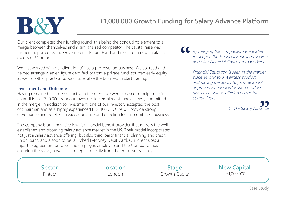Our client completed their funding round, this being the concluding element to a merge between themselves and a similar sized competitor. The capital raise was further supported by the Government's Future Fund and resulted in new capital in excess of £1million.

We first worked with our client in 2019 as a pre-revenue business. We sourced and helped arrange a seven figure debt facility from a private fund, sourced early equity as well as other practical support to enable the business to start trading.

#### **Investment and Outcome**

Having remained in close contact with the client, we were pleased to help bring in an additional £300,000 from our investors to compliment funds already committed in the merge. In addition to investment, one of our investors accepted the post of Chairman and as a highly experienced FTSE100 CEO, he will provide strong governance and excellent advice, guidance and direction for the combined business.

The company is an innovative low risk financial benefit provider that mirrors the wellestablished and booming salary advance market in the US. Their model incorporates not just a salary advance offering, but also third-party financial planning and credit union loans, and a soon to be launched E-Money Debit Card. Our client uses a tripartite agreement between the employer, employee and the Company, thus ensuring the salary advances are repaid directly from the employee's salary.

By merging the companies we are able to deepen the Financial Education service and offer Financial Coaching to workers.

Financial Education is seen in the market place as vital to a Wellness product and having the ability to provide an IFA approved Financial Education product gives us a unique offering versus the competition.



Fintech **Example 2018** London Growth Capital **E1,000,000** 

**Sector Location Stage New Capital**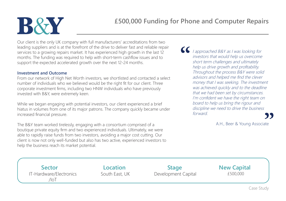Our client is the only UK company with full manufacturers' accreditations from two leading suppliers and is at the forefront of the drive to deliver fast and reliable repair services to a growing repairs market. It has experienced high growth in the last 12 months. The funding was required to help with short-term cashflow issues and to support the expected accelerated growth over the next 12-24 months.

#### **Investment and Outcome**

From our network of High Net Worth investors, we shortlisted and contacted a select number of individuals who we believed would be the right fit for our client. Three corporate investment firms, including two HNW individuals who have previously invested with B&Y, were extremely keen.

While we began engaging with potential investors, our client experienced a brief hiatus in volumes from one of its major patrons. The company quickly became under increased financial pressure.

The B&Y team worked tirelessly, engaging with a consortium comprised of a boutique private equity firm and two experienced individuals. Ultimately, we were able to rapidly raise funds from two investors, avoiding a major cost cutting. Our client is now not only well-funded but also has two active, experienced investors to help the business reach its market potential.

 $\epsilon$ I approached B&Y as I was looking for investors that would help us overcome short term challenges and ultimately help us drive growth and profitability. Throughout the process B&Y were solid advisors and helped me find the clever money that I was seeking. The investment was achieved quickly and to the deadline that we had been set by circumstances. I'm confident we have the right team on board to help us bring the rigour and discipline we need to drive the business forward.

A.H., Beer & Young Associate

IT-Hardware/Electronics  $/$ IoT

**Sector Location Stage New Capital** South East, UK Development Capital  $£500,000$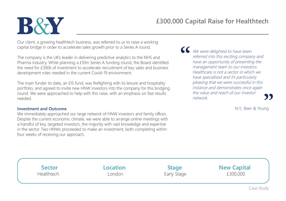Our client, a growing healthtech business, was referred to us to raise a working capital bridge in order to accelerate sales growth prior to a Series A round.

The company is the UK's leader in delivering predictive analytics to the NHS and Pharma industry. While planning a £10m Series A funding round, the Board identified the need for £300k of investment to accelerate recruitment of key sales and business development roles needed in the current Covid-19 environment.

The main funder to date, an EIS fund, was firefighting with its leisure and hospitality portfolio, and agreed to invite new HNW investors into the company for this bridging round. We were approached to help with this raise, with an emphasis on fast results needed.

#### **Investment and Outcome**

We immediately approached our large network of HNW investors and family offices. Despite the current economic climate, we were able to arrange online meetings with a handful of key, targeted investors, the majority with vast knowledge and expertise in the sector. Two HNWs proceeded to make an investment, both completing within four weeks of receiving our approach.

We were delighted to have been referred into this exciting company and have an opportunity of presenting the management team to our investors. Healthcare is not a sector in which we have specialised and it's particularly pleasing that we were successful in this instance and demonstrates once again the value and reach of our investor network.

N.Y., Beer & Young

| <b>Sector</b> | <b>Location</b> | <b>Stage</b> | <b>New Capital</b> |
|---------------|-----------------|--------------|--------------------|
| Healthtech    | London          | Early Stage  | £300,000           |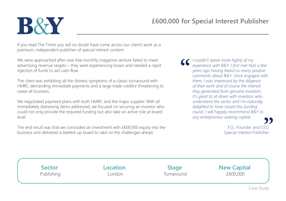If you read The Times you will no doubt have come across our client's work as a premium, independent publisher of special interest content.

We were approached after new free monthly magazine venture failed to meet advertising revenue targets – they were experiencing losses and needed a rapid injection of funds to aid cash-flow.

The client was exhibiting all the distress symptoms of a classic turnaround with HMRC demanding immediate payments and a large trade creditor threatening to cease all business.

We negotiated payment plans with both HMRC and the major supplier. With all immediately distressing items addressed, we focused on securing an investor who could not only provide the required funding but also take an active role at board level.

The end result was that we concluded an investment with £600,000 equity into the business and delivered a beefed-up board to take on the challenges ahead.

*I couldn't speak more highly of my experience with B&Y. I first met Nick a few years ago having heard so many positive comments about B&Y. Once engaged with them, I was impressed by the diligence of their work and of course the interest they generated from genuine investors. It's great to sit down with investors who understand the sector and I'm naturally delighted to have closed this funding round. I will happily recommend B&Y to any entrepreneur seeking capital.*

> F.O., Founder and CEO Special Interest Publisher

| <b>Sector</b> | <b>Location</b> | <b>Stage</b> | <b>New Capital</b> |
|---------------|-----------------|--------------|--------------------|
| Publishing    | London          | Turnaround   | £600,000           |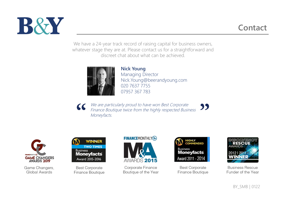

### **Contact**

We have a 24-year track record of raising capital for business owners, whatever stage they are at. Please contact us for a straightforward and discreet chat about what can be achieved.



**Nick Young** Managing Director Nick.Young@beerandyoung.com 020 7637 7755 07957 367 783

We are particularly proud to have won Best Corporate  $\mathbf{5}$ Finance Boutique twice from the highly respected Business Moneyfacts.



Game Changers, Global Awards



**Best Corporate** Finance Boutique



Corporate Finance Boutique of the Year



**Best Corporate** Finance Boutique



**Business Rescue** Funder of the Year